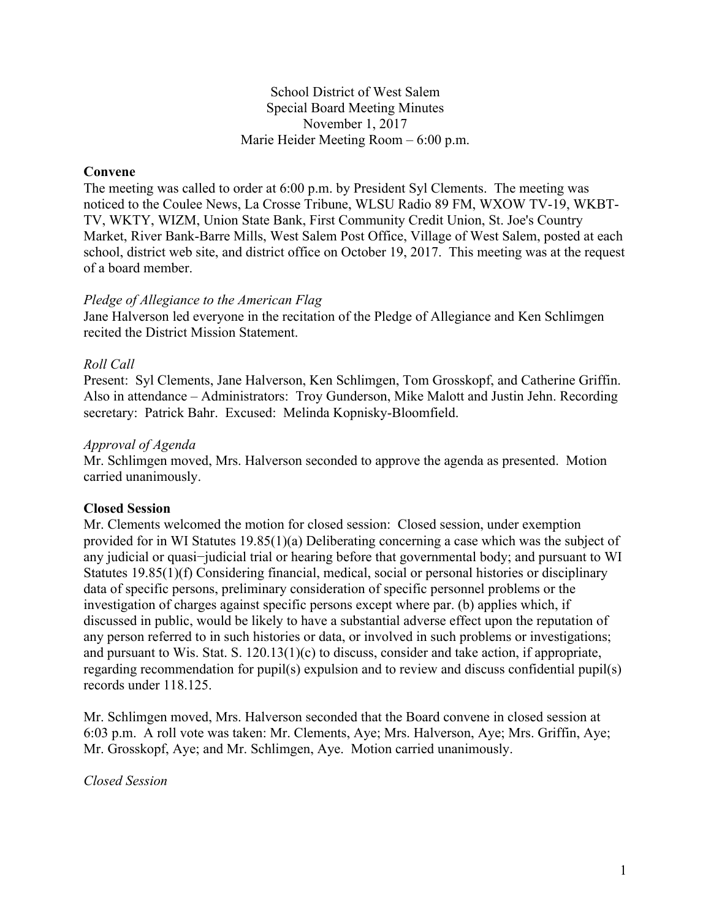### School District of West Salem Special Board Meeting Minutes November 1, 2017 Marie Heider Meeting Room – 6:00 p.m.

## **Convene**

The meeting was called to order at 6:00 p.m. by President Syl Clements. The meeting was noticed to the Coulee News, La Crosse Tribune, WLSU Radio 89 FM, WXOW TV-19, WKBT-TV, WKTY, WIZM, Union State Bank, First Community Credit Union, St. Joe's Country Market, River Bank-Barre Mills, West Salem Post Office, Village of West Salem, posted at each school, district web site, and district office on October 19, 2017. This meeting was at the request of a board member.

#### *Pledge of Allegiance to the American Flag*

Jane Halverson led everyone in the recitation of the Pledge of Allegiance and Ken Schlimgen recited the District Mission Statement.

#### *Roll Call*

Present: Syl Clements, Jane Halverson, Ken Schlimgen, Tom Grosskopf, and Catherine Griffin. Also in attendance – Administrators: Troy Gunderson, Mike Malott and Justin Jehn. Recording secretary: Patrick Bahr. Excused: Melinda Kopnisky-Bloomfield.

#### *Approval of Agenda*

Mr. Schlimgen moved, Mrs. Halverson seconded to approve the agenda as presented. Motion carried unanimously.

#### **Closed Session**

Mr. Clements welcomed the motion for closed session: Closed session, under exemption provided for in WI Statutes 19.85(1)(a) Deliberating concerning a case which was the subject of any judicial or quasi−judicial trial or hearing before that governmental body; and pursuant to WI Statutes 19.85(1)(f) Considering financial, medical, social or personal histories or disciplinary data of specific persons, preliminary consideration of specific personnel problems or the investigation of charges against specific persons except where par. (b) applies which, if discussed in public, would be likely to have a substantial adverse effect upon the reputation of any person referred to in such histories or data, or involved in such problems or investigations; and pursuant to Wis. Stat. S. 120.13(1)(c) to discuss, consider and take action, if appropriate, regarding recommendation for pupil(s) expulsion and to review and discuss confidential pupil(s) records under 118.125.

Mr. Schlimgen moved, Mrs. Halverson seconded that the Board convene in closed session at 6:03 p.m. A roll vote was taken: Mr. Clements, Aye; Mrs. Halverson, Aye; Mrs. Griffin, Aye; Mr. Grosskopf, Aye; and Mr. Schlimgen, Aye. Motion carried unanimously.

*Closed Session*